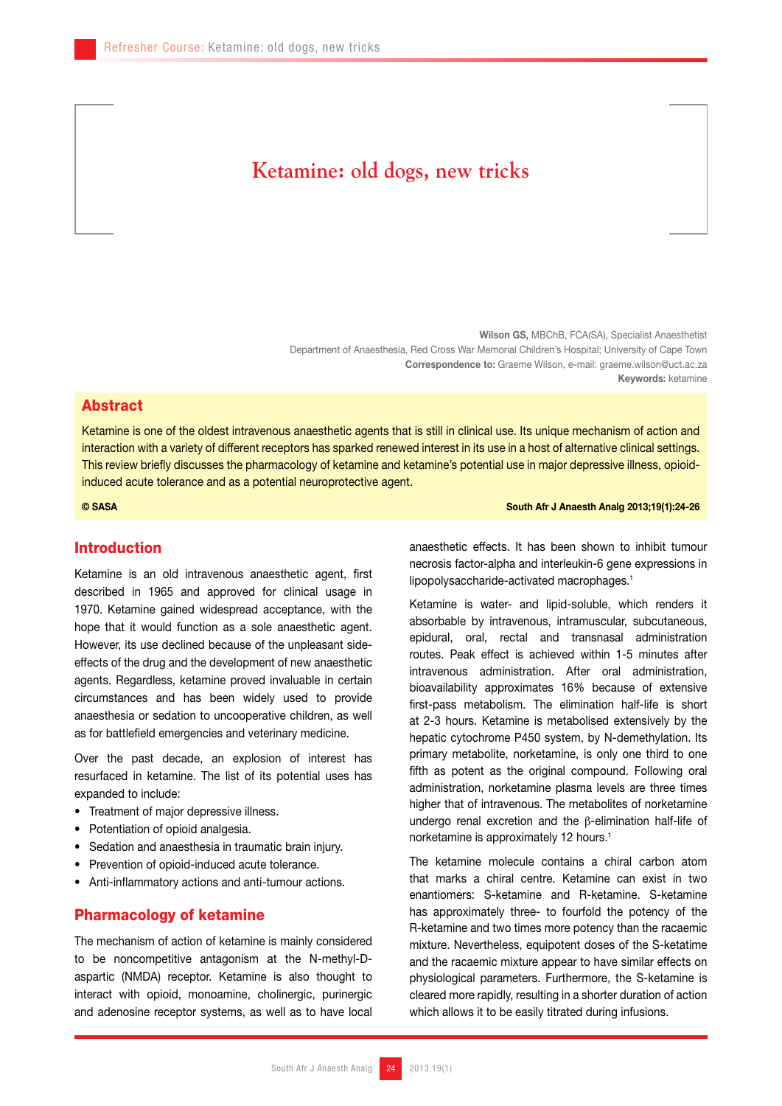# **Ketamine: old dogs, new tricks**

Wilson GS, MBChB, FCA(SA), Specialist Anaesthetist Department of Anaesthesia, Red Cross War Memorial Children's Hospital; University of Cape Town Correspondence to: Graeme Wilson, e-mail: graeme.wilson@uct.ac.za Keywords: ketamine

#### Abstract

Ketamine is one of the oldest intravenous anaesthetic agents that is still in clinical use. Its unique mechanism of action and interaction with a variety of different receptors has sparked renewed interest in its use in a host of alternative clinical settings. This review briefly discusses the pharmacology of ketamine and ketamine's potential use in major depressive illness, opioidinduced acute tolerance and as a potential neuroprotective agent.

#### © SASA South Afr J Anaesth Analg 2013;19(1):24-26

### Introduction

Ketamine is an old intravenous anaesthetic agent, first described in 1965 and approved for clinical usage in 1970. Ketamine gained widespread acceptance, with the hope that it would function as a sole anaesthetic agent. However, its use declined because of the unpleasant sideeffects of the drug and the development of new anaesthetic agents. Regardless, ketamine proved invaluable in certain circumstances and has been widely used to provide anaesthesia or sedation to uncooperative children, as well as for battlefield emergencies and veterinary medicine.

Over the past decade, an explosion of interest has resurfaced in ketamine. The list of its potential uses has expanded to include:

- • Treatment of major depressive illness.
- Potentiation of opioid analgesia.
- Sedation and anaesthesia in traumatic brain injury.
- Prevention of opioid-induced acute tolerance.
- Anti-inflammatory actions and anti-tumour actions.

#### Pharmacology of ketamine

The mechanism of action of ketamine is mainly considered to be noncompetitive antagonism at the N-methyl-Daspartic (NMDA) receptor. Ketamine is also thought to interact with opioid, monoamine, cholinergic, purinergic and adenosine receptor systems, as well as to have local

anaesthetic effects. It has been shown to inhibit tumour necrosis factor-alpha and interleukin-6 gene expressions in lipopolysaccharide-activated macrophages.<sup>1</sup>

Ketamine is water- and lipid-soluble, which renders it absorbable by intravenous, intramuscular, subcutaneous, epidural, oral, rectal and transnasal administration routes. Peak effect is achieved within 1-5 minutes after intravenous administration. After oral administration, bioavailability approximates 16% because of extensive first-pass metabolism. The elimination half-life is short at 2-3 hours. Ketamine is metabolised extensively by the hepatic cytochrome P450 system, by N-demethylation. Its primary metabolite, norketamine, is only one third to one fifth as potent as the original compound. Following oral administration, norketamine plasma levels are three times higher that of intravenous. The metabolites of norketamine undergo renal excretion and the β-elimination half-life of norketamine is approximately 12 hours.<sup>1</sup>

The ketamine molecule contains a chiral carbon atom that marks a chiral centre. Ketamine can exist in two enantiomers: S-ketamine and R-ketamine. S-ketamine has approximately three- to fourfold the potency of the R-ketamine and two times more potency than the racaemic mixture. Nevertheless, equipotent doses of the S-ketatime and the racaemic mixture appear to have similar effects on physiological parameters. Furthermore, the S-ketamine is cleared more rapidly, resulting in a shorter duration of action which allows it to be easily titrated during infusions.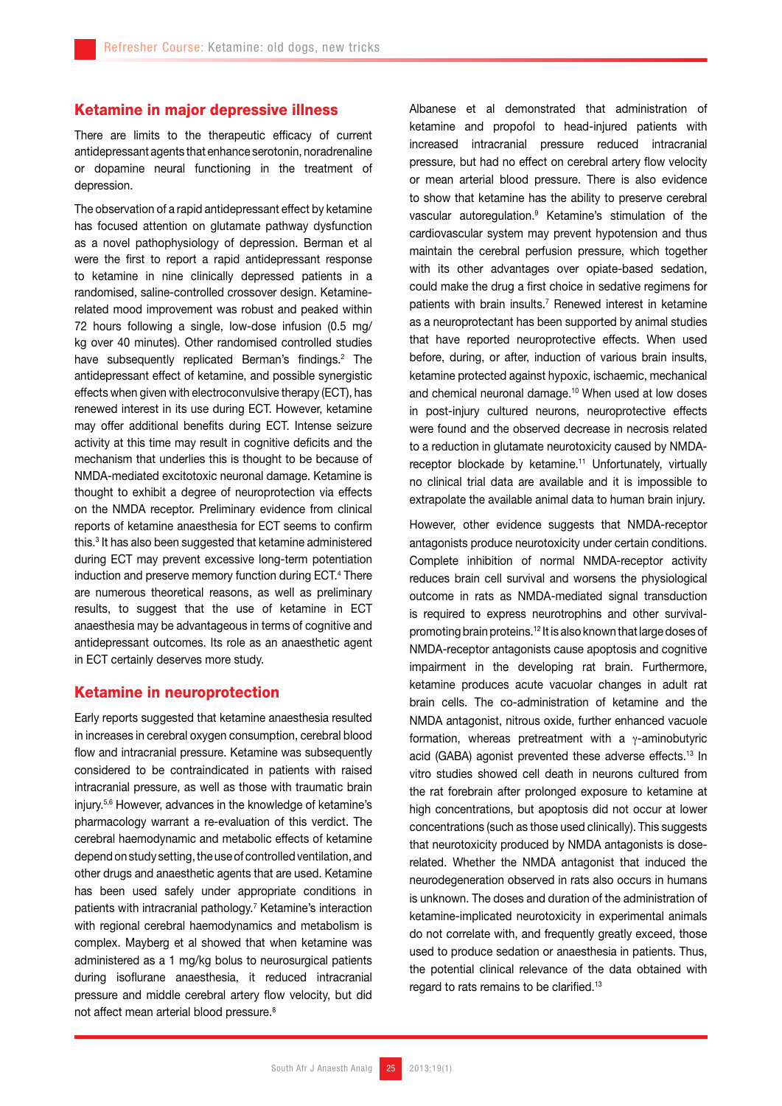#### Ketamine in major depressive illness

There are limits to the therapeutic efficacy of current antidepressant agents that enhance serotonin, noradrenaline or dopamine neural functioning in the treatment of depression.

The observation of a rapid antidepressant effect by ketamine has focused attention on glutamate pathway dysfunction as a novel pathophysiology of depression. Berman et al were the first to report a rapid antidepressant response to ketamine in nine clinically depressed patients in a randomised, saline-controlled crossover design. Ketaminerelated mood improvement was robust and peaked within 72 hours following a single, low-dose infusion (0.5 mg/ kg over 40 minutes). Other randomised controlled studies have subsequently replicated Berman's findings.<sup>2</sup> The antidepressant effect of ketamine, and possible synergistic effects when given with electroconvulsive therapy (ECT), has renewed interest in its use during ECT. However, ketamine may offer additional benefits during ECT. Intense seizure activity at this time may result in cognitive deficits and the mechanism that underlies this is thought to be because of NMDA-mediated excitotoxic neuronal damage. Ketamine is thought to exhibit a degree of neuroprotection via effects on the NMDA receptor. Preliminary evidence from clinical reports of ketamine anaesthesia for ECT seems to confirm this.<sup>3</sup> It has also been suggested that ketamine administered during ECT may prevent excessive long-term potentiation induction and preserve memory function during ECT.4 There are numerous theoretical reasons, as well as preliminary results, to suggest that the use of ketamine in ECT anaesthesia may be advantageous in terms of cognitive and antidepressant outcomes. Its role as an anaesthetic agent in ECT certainly deserves more study.

#### Ketamine in neuroprotection

Early reports suggested that ketamine anaesthesia resulted in increases in cerebral oxygen consumption, cerebral blood flow and intracranial pressure. Ketamine was subsequently considered to be contraindicated in patients with raised intracranial pressure, as well as those with traumatic brain injury.5,6 However, advances in the knowledge of ketamine's pharmacology warrant a re-evaluation of this verdict. The cerebral haemodynamic and metabolic effects of ketamine depend on study setting, the use of controlled ventilation, and other drugs and anaesthetic agents that are used. Ketamine has been used safely under appropriate conditions in patients with intracranial pathology.7 Ketamine's interaction with regional cerebral haemodynamics and metabolism is complex. Mayberg et al showed that when ketamine was administered as a 1 mg/kg bolus to neurosurgical patients during isoflurane anaesthesia, it reduced intracranial pressure and middle cerebral artery flow velocity, but did not affect mean arterial blood pressure.<sup>8</sup>

Albanese et al demonstrated that administration of ketamine and propofol to head-injured patients with increased intracranial pressure reduced intracranial pressure, but had no effect on cerebral artery flow velocity or mean arterial blood pressure. There is also evidence to show that ketamine has the ability to preserve cerebral vascular autoregulation.9 Ketamine's stimulation of the cardiovascular system may prevent hypotension and thus maintain the cerebral perfusion pressure, which together with its other advantages over opiate-based sedation, could make the drug a first choice in sedative regimens for patients with brain insults.<sup>7</sup> Renewed interest in ketamine as a neuroprotectant has been supported by animal studies that have reported neuroprotective effects. When used before, during, or after, induction of various brain insults, ketamine protected against hypoxic, ischaemic, mechanical and chemical neuronal damage.<sup>10</sup> When used at low doses in post-injury cultured neurons, neuroprotective effects were found and the observed decrease in necrosis related to a reduction in glutamate neurotoxicity caused by NMDAreceptor blockade by ketamine.<sup>11</sup> Unfortunately, virtually no clinical trial data are available and it is impossible to extrapolate the available animal data to human brain injury.

However, other evidence suggests that NMDA-receptor antagonists produce neurotoxicity under certain conditions. Complete inhibition of normal NMDA-receptor activity reduces brain cell survival and worsens the physiological outcome in rats as NMDA-mediated signal transduction is required to express neurotrophins and other survivalpromoting brain proteins.12 It is also known that large doses of NMDA-receptor antagonists cause apoptosis and cognitive impairment in the developing rat brain. Furthermore, ketamine produces acute vacuolar changes in adult rat brain cells. The co-administration of ketamine and the NMDA antagonist, nitrous oxide, further enhanced vacuole formation, whereas pretreatment with a γ-aminobutyric acid (GABA) agonist prevented these adverse effects.13 In vitro studies showed cell death in neurons cultured from the rat forebrain after prolonged exposure to ketamine at high concentrations, but apoptosis did not occur at lower concentrations (such as those used clinically). This suggests that neurotoxicity produced by NMDA antagonists is doserelated. Whether the NMDA antagonist that induced the neurodegeneration observed in rats also occurs in humans is unknown. The doses and duration of the administration of ketamine-implicated neurotoxicity in experimental animals do not correlate with, and frequently greatly exceed, those used to produce sedation or anaesthesia in patients. Thus, the potential clinical relevance of the data obtained with regard to rats remains to be clarified.13